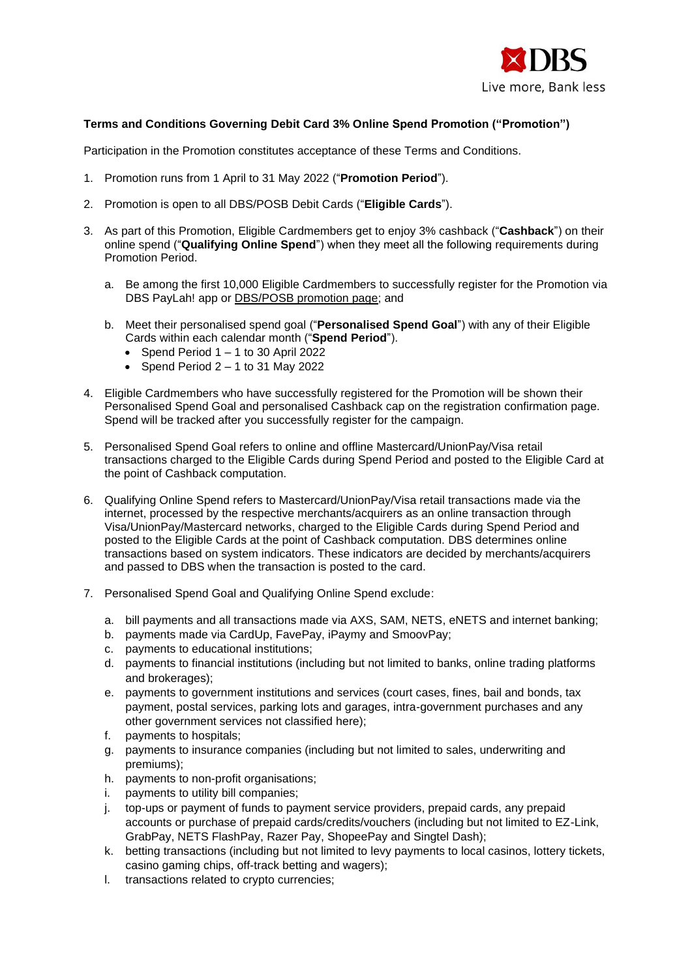

## **Terms and Conditions Governing Debit Card 3% Online Spend Promotion ("Promotion")**

Participation in the Promotion constitutes acceptance of these Terms and Conditions.

- 1. Promotion runs from 1 April to 31 May 2022 ("**Promotion Period**").
- 2. Promotion is open to all DBS/POSB Debit Cards ("**Eligible Cards**").
- 3. As part of this Promotion, Eligible Cardmembers get to enjoy 3% cashback ("**Cashback**") on their online spend ("**Qualifying Online Spend**") when they meet all the following requirements during Promotion Period.
	- a. Be among the first 10,000 Eligible Cardmembers to successfully register for the Promotion via DBS PayLah! app or [DBS/POSB promotion page;](https://www.dbs.com.sg/personal/promotion/cards-debit-online-spend) and
	- b. Meet their personalised spend goal ("**Personalised Spend Goal**") with any of their Eligible Cards within each calendar month ("**Spend Period**").
		- Spend Period  $1 1$  to 30 April 2022
		- Spend Period  $2 1$  to 31 May 2022
- 4. Eligible Cardmembers who have successfully registered for the Promotion will be shown their Personalised Spend Goal and personalised Cashback cap on the registration confirmation page. Spend will be tracked after you successfully register for the campaign.
- 5. Personalised Spend Goal refers to online and offline Mastercard/UnionPay/Visa retail transactions charged to the Eligible Cards during Spend Period and posted to the Eligible Card at the point of Cashback computation.
- 6. Qualifying Online Spend refers to Mastercard/UnionPay/Visa retail transactions made via the internet, processed by the respective merchants/acquirers as an online transaction through Visa/UnionPay/Mastercard networks, charged to the Eligible Cards during Spend Period and posted to the Eligible Cards at the point of Cashback computation. DBS determines online transactions based on system indicators. These indicators are decided by merchants/acquirers and passed to DBS when the transaction is posted to the card.
- 7. Personalised Spend Goal and Qualifying Online Spend exclude:
	- a. bill payments and all transactions made via AXS, SAM, NETS, eNETS and internet banking;
	- b. payments made via CardUp, FavePay, iPaymy and SmoovPay;
	- c. payments to educational institutions;
	- d. payments to financial institutions (including but not limited to banks, online trading platforms and brokerages);
	- e. payments to government institutions and services (court cases, fines, bail and bonds, tax payment, postal services, parking lots and garages, intra-government purchases and any other government services not classified here);
	- f. payments to hospitals;
	- g. payments to insurance companies (including but not limited to sales, underwriting and premiums);
	- h. payments to non-profit organisations;
	- i. payments to utility bill companies;
	- j. top-ups or payment of funds to payment service providers, prepaid cards, any prepaid accounts or purchase of prepaid cards/credits/vouchers (including but not limited to EZ-Link, GrabPay, NETS FlashPay, Razer Pay, ShopeePay and Singtel Dash);
	- k. betting transactions (including but not limited to levy payments to local casinos, lottery tickets, casino gaming chips, off-track betting and wagers);
	- l. transactions related to crypto currencies;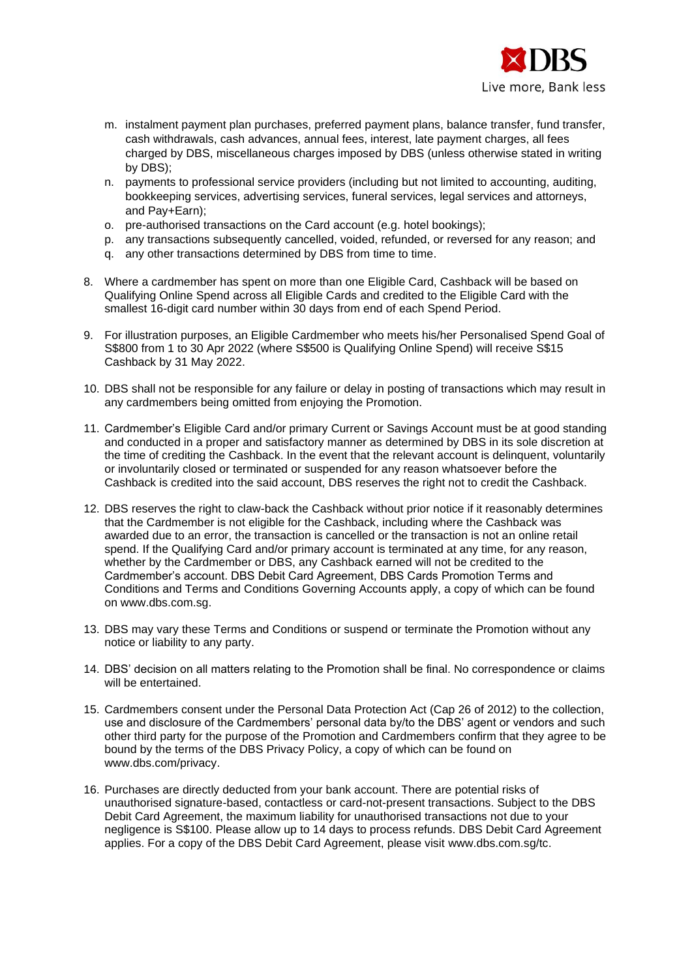

- m. instalment payment plan purchases, preferred payment plans, balance transfer, fund transfer, cash withdrawals, cash advances, annual fees, interest, late payment charges, all fees charged by DBS, miscellaneous charges imposed by DBS (unless otherwise stated in writing by DBS);
- n. payments to professional service providers (including but not limited to accounting, auditing, bookkeeping services, advertising services, funeral services, legal services and attorneys, and Pay+Earn);
- o. pre-authorised transactions on the Card account (e.g. hotel bookings);
- p. any transactions subsequently cancelled, voided, refunded, or reversed for any reason; and
- q. any other transactions determined by DBS from time to time.
- 8. Where a cardmember has spent on more than one Eligible Card, Cashback will be based on Qualifying Online Spend across all Eligible Cards and credited to the Eligible Card with the smallest 16-digit card number within 30 days from end of each Spend Period.
- 9. For illustration purposes, an Eligible Cardmember who meets his/her Personalised Spend Goal of S\$800 from 1 to 30 Apr 2022 (where S\$500 is Qualifying Online Spend) will receive S\$15 Cashback by 31 May 2022.
- 10. DBS shall not be responsible for any failure or delay in posting of transactions which may result in any cardmembers being omitted from enjoying the Promotion.
- 11. Cardmember's Eligible Card and/or primary Current or Savings Account must be at good standing and conducted in a proper and satisfactory manner as determined by DBS in its sole discretion at the time of crediting the Cashback. In the event that the relevant account is delinquent, voluntarily or involuntarily closed or terminated or suspended for any reason whatsoever before the Cashback is credited into the said account, DBS reserves the right not to credit the Cashback.
- 12. DBS reserves the right to claw-back the Cashback without prior notice if it reasonably determines that the Cardmember is not eligible for the Cashback, including where the Cashback was awarded due to an error, the transaction is cancelled or the transaction is not an online retail spend. If the Qualifying Card and/or primary account is terminated at any time, for any reason, whether by the Cardmember or DBS, any Cashback earned will not be credited to the Cardmember's account. DBS Debit Card Agreement, DBS Cards Promotion Terms and Conditions and Terms and Conditions Governing Accounts apply, a copy of which can be found on www.dbs.com.sg.
- 13. DBS may vary these Terms and Conditions or suspend or terminate the Promotion without any notice or liability to any party.
- 14. DBS' decision on all matters relating to the Promotion shall be final. No correspondence or claims will be entertained.
- 15. Cardmembers consent under the Personal Data Protection Act (Cap 26 of 2012) to the collection, use and disclosure of the Cardmembers' personal data by/to the DBS' agent or vendors and such other third party for the purpose of the Promotion and Cardmembers confirm that they agree to be bound by the terms of the DBS Privacy Policy, a copy of which can be found on www.dbs.com/privacy.
- 16. Purchases are directly deducted from your bank account. There are potential risks of unauthorised signature-based, contactless or card-not-present transactions. Subject to the DBS Debit Card Agreement, the maximum liability for unauthorised transactions not due to your negligence is S\$100. Please allow up to 14 days to process refunds. DBS Debit Card Agreement applies. For a copy of the DBS Debit Card Agreement, please visit [www.dbs.com.sg/tc.](http://www.dbs.com.sg/tc)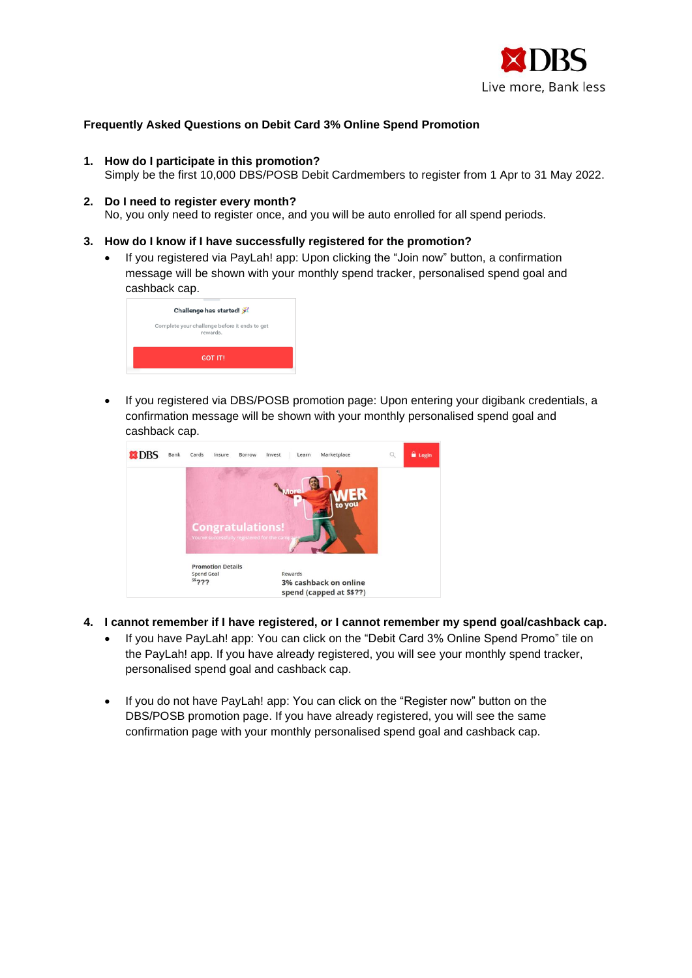

## **Frequently Asked Questions on Debit Card 3% Online Spend Promotion**

- **1. How do I participate in this promotion?** 
	- Simply be the first 10,000 DBS/POSB Debit Cardmembers to register from 1 Apr to 31 May 2022.
- **2. Do I need to register every month?**  No, you only need to register once, and you will be auto enrolled for all spend periods.
- **3. How do I know if I have successfully registered for the promotion?**
	- If you registered via PayLah! app: Upon clicking the "Join now" button, a confirmation message will be shown with your monthly spend tracker, personalised spend goal and cashback cap.

| Challenge has started!                                    |
|-----------------------------------------------------------|
| Complete your challenge before it ends to get<br>rewards. |
| <b>GOT IT!</b>                                            |

• If you registered via DBS/POSB promotion page: Upon entering your digibank credentials, a confirmation message will be shown with your monthly personalised spend goal and cashback cap.



- **4. I cannot remember if I have registered, or I cannot remember my spend goal/cashback cap.** 
	- If you have PayLah! app: You can click on the "Debit Card 3% Online Spend Promo" tile on the PayLah! app. If you have already registered, you will see your monthly spend tracker, personalised spend goal and cashback cap.
	- If you do not have PayLah! app: You can click on the "Register now" button on the DBS/POSB promotion page. If you have already registered, you will see the same confirmation page with your monthly personalised spend goal and cashback cap.